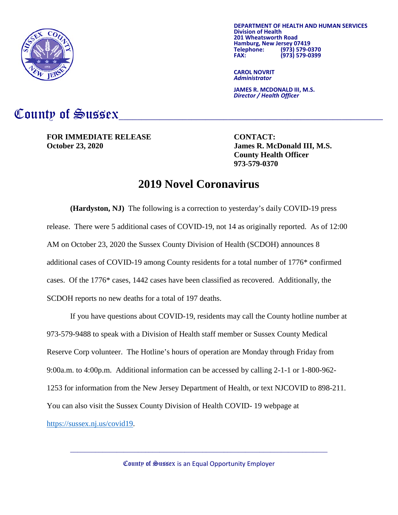

**DEPARTMENT OF HEALTH AND HUMAN SERVICES Division of Health 201 Hamburg, New Jersey 07419<br>Telephone: (973) 579-0 Telephone: (973) 579-0370 FAX: (973) 579-0399**

**CAROL NOVRIT** *Administrator*

**JAMES R. MCDONALD III, M.S.** *Director / Health Officer*

## County of Sussex

**FOR IMMEDIATE RELEASE CONTACT: October 23, 2020 James R. McDonald III, M.S.**

**County Health Officer 973-579-0370**

## **2019 Novel Coronavirus**

**(Hardyston, NJ)** The following is a correction to yesterday's daily COVID-19 press release. There were 5 additional cases of COVID-19, not 14 as originally reported. As of 12:00 AM on October 23, 2020 the Sussex County Division of Health (SCDOH) announces 8 additional cases of COVID-19 among County residents for a total number of 1776\* confirmed cases. Of the 1776\* cases, 1442 cases have been classified as recovered. Additionally, the SCDOH reports no new deaths for a total of 197 deaths.

If you have questions about COVID-19, residents may call the County hotline number at 973-579-9488 to speak with a Division of Health staff member or Sussex County Medical Reserve Corp volunteer. The Hotline's hours of operation are Monday through Friday from 9:00a.m. to 4:00p.m. Additional information can be accessed by calling 2-1-1 or 1-800-962- 1253 for information from the New Jersey Department of Health, or text NJCOVID to 898-211. You can also visit the Sussex County Division of Health COVID- 19 webpage at [https://sussex.nj.us/covid19.](https://sussex.nj.us/covid19)

County of Sussex is an Equal Opportunity Employer

 $\_$  , and the set of the set of the set of the set of the set of the set of the set of the set of the set of the set of the set of the set of the set of the set of the set of the set of the set of the set of the set of th